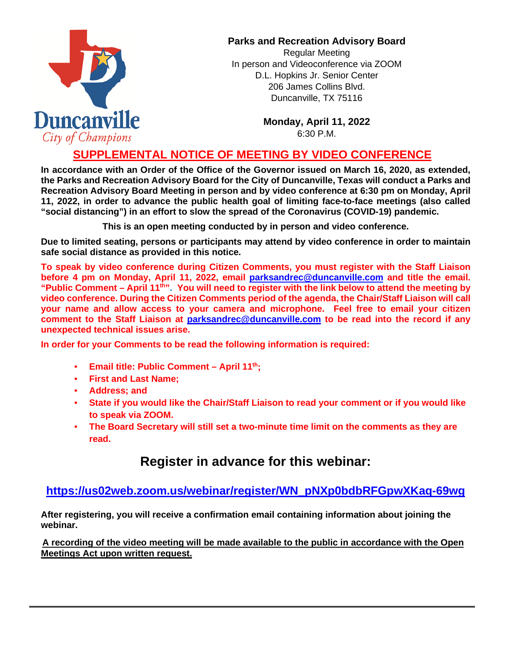

#### **Parks and Recreation Advisory Board**

Regular Meeting In person and Videoconference via ZOOM D.L. Hopkins Jr. Senior Center 206 James Collins Blvd. Duncanville, TX 75116

> **Monday, April 11, 2022** 6:30 P.M.

### **SUPPLEMENTAL NOTICE OF MEETING BY VIDEO CONFERENCE**

**In accordance with an Order of the Office of the Governor issued on March 16, 2020, as extended, the Parks and Recreation Advisory Board for the City of Duncanville, Texas will conduct a Parks and Recreation Advisory Board Meeting in person and by video conference at 6:30 pm on Monday, April 11, 2022, in order to advance the public health goal of limiting face-to-face meetings (also called "social distancing") in an effort to slow the spread of the Coronavirus (COVID-19) pandemic.** 

**This is an open meeting conducted by in person and video conference.**

**Due to limited seating, persons or participants may attend by video conference in order to maintain safe social distance as provided in this notice.**

**To speak by video conference during Citizen Comments, you must register with the Staff Liaison before 4 pm on Monday, April 11, 2022, email parksandrec@duncanville.com and title the email. "Public Comment – April 11th". You will need to register with the link below to attend the meeting by video conference. During the Citizen Comments period of the agenda, the Chair/Staff Liaison will call your name and allow access to your camera and microphone. Feel free to email your citizen comment to the Staff Liaison at [parksandrec@duncanville.com](mailto:parksandrec@duncanville.com) to be read into the record if any unexpected technical issues arise.**

**In order for your Comments to be read the following information is required:**

- **Email title: Public Comment April 11th;**
- **First and Last Name;**
- **Address; and**
- **State if you would like the Chair/Staff Liaison to read your comment or if you would like to speak via ZOOM.**
- **The Board Secretary will still set a two-minute time limit on the comments as they are read.**

# **Register in advance for this webinar:**

## **[https://us02web.zoom.us/webinar/register/WN\\_pNXp0bdbRFGpwXKaq-69wg](https://us02web.zoom.us/webinar/register/WN_pNXp0bdbRFGpwXKaq-69wg)**

**After registering, you will receive a confirmation email containing information about joining the webinar.**

**A recording of the video meeting will be made available to the public in accordance with the Open Meetings Act upon written request.**